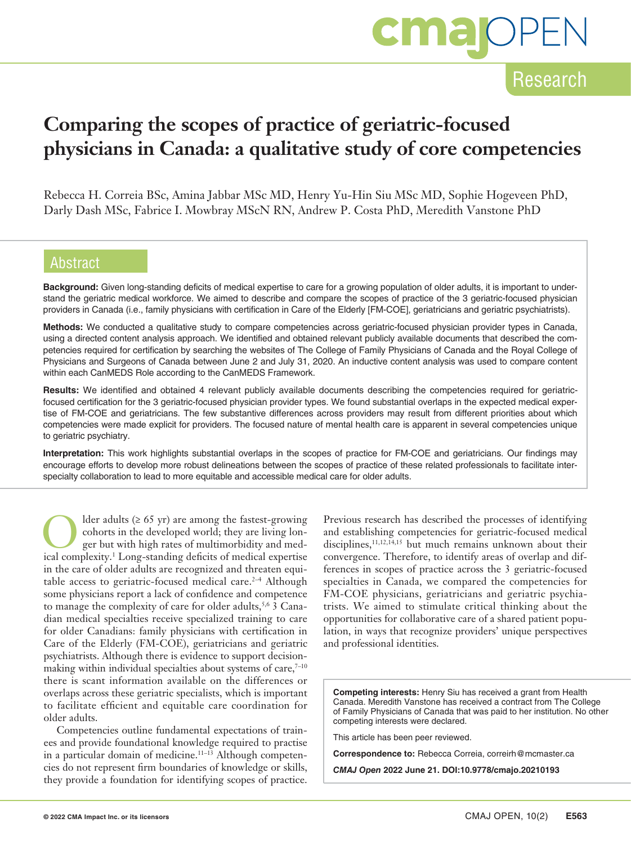# **cma**OF

### Research

## **Comparing the scopes of practice of geriatric-focused physicians in Canada: a qualitative study of core competencies**

Rebecca H. Correia BSc, Amina Jabbar MSc MD, Henry Yu-Hin Siu MSc MD, Sophie Hogeveen PhD, Darly Dash MSc, Fabrice I. Mowbray MScN RN, Andrew P. Costa PhD, Meredith Vanstone PhD

### Abstract

**Background:** Given long-standing deficits of medical expertise to care for a growing population of older adults, it is important to understand the geriatric medical workforce. We aimed to describe and compare the scopes of practice of the 3 geriatric-focused physician providers in Canada (i.e., family physicians with certification in Care of the Elderly [FM-COE], geriatricians and geriatric psychiatrists).

**Methods:** We conducted a qualitative study to compare competencies across geriatric-focused physician provider types in Canada, using a directed content analysis approach. We identified and obtained relevant publicly available documents that described the competencies required for certification by searching the websites of The College of Family Physicians of Canada and the Royal College of Physicians and Surgeons of Canada between June 2 and July 31, 2020. An inductive content analysis was used to compare content within each CanMEDS Role according to the CanMEDS Framework.

**Results:** We identified and obtained 4 relevant publicly available documents describing the competencies required for geriatricfocused certification for the 3 geriatric-focused physician provider types. We found substantial overlaps in the expected medical expertise of FM-COE and geriatricians. The few substantive differences across providers may result from different priorities about which competencies were made explicit for providers. The focused nature of mental health care is apparent in several competencies unique to geriatric psychiatry.

**Interpretation:** This work highlights substantial overlaps in the scopes of practice for FM-COE and geriatricians. Our findings may encourage efforts to develop more robust delineations between the scopes of practice of these related professionals to facilitate interspecialty collaboration to lead to more equitable and accessible medical care for older adults.

Ider adults  $(≥ 65 \text{ yr})$  are among the fastest-growing cohorts in the developed world; they are living longer but with high rates of multimorbidity and medical complexity.1 Long-standing deficits of medical expertise in the care of older adults are recognized and threaten equitable access to geriatric-focused medical care.<sup>2-4</sup> Although some physicians report a lack of confidence and competence to manage the complexity of care for older adults,<sup>5,6</sup> 3 Canadian medical specialties receive specialized training to care for older Canadians: family physicians with certification in Care of the Elderly (FM-COE), geriatricians and geriatric psychiatrists. Although there is evidence to support decisionmaking within individual specialties about systems of care, $7-10$ there is scant information available on the differences or overlaps across these geriatric specialists, which is important to facilitate efficient and equitable care coordination for older adults.

Competencies outline fundamental expectations of trainees and provide foundational knowledge required to practise in a particular domain of medicine.<sup>11-13</sup> Although competencies do not represent firm boundaries of knowledge or skills, they provide a foundation for identifying scopes of practice. Previous research has described the processes of identifying and establishing competencies for geriatric-focused medical disciplines,<sup>11,12,14,15</sup> but much remains unknown about their convergence. Therefore, to identify areas of overlap and differences in scopes of practice across the 3 geriatric-focused specialties in Canada, we compared the competencies for FM-COE physicians, geriatricians and geriatric psychiatrists. We aimed to stimulate critical thinking about the opportunities for collaborative care of a shared patient population, in ways that recognize providers' unique perspectives and professional identities.

**Competing interests:** Henry Siu has received a grant from Health Canada. Meredith Vanstone has received a contract from The College of Family Physicians of Canada that was paid to her institution. No other competing interests were declared.

This article has been peer reviewed.

**Correspondence to:** Rebecca Correia, correirh@mcmaster.ca

*CMAJ Open* **2022 June 21. DOI:10.9778/cmajo.20210193**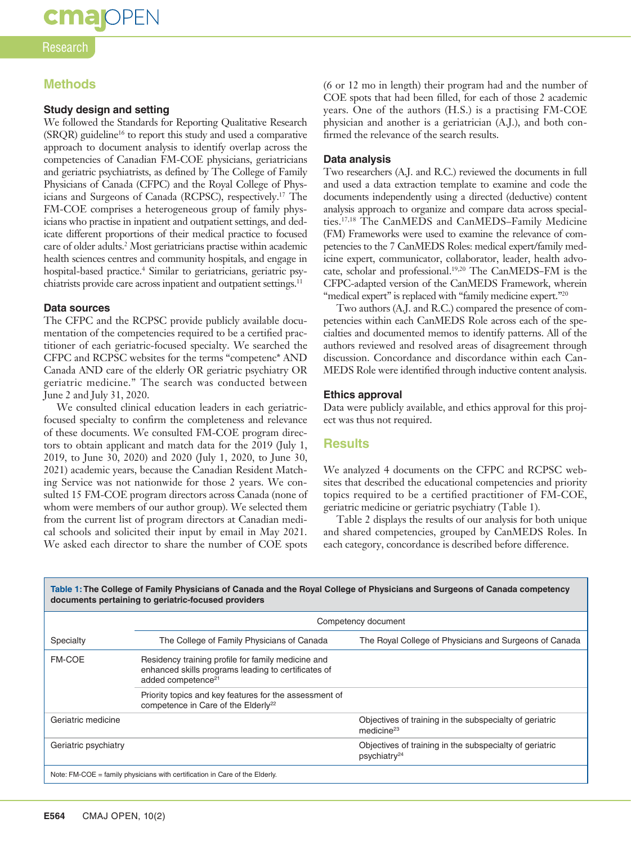# **cma**OPEN

#### Research

### **Methods**

#### **Study design and setting**

We followed the Standards for Reporting Qualitative Research (SRQR) guideline16 to report this study and used a comparative approach to document analysis to identify overlap across the competencies of Canadian FM-COE physicians, geriatricians and geriatric psychiatrists, as defined by The College of Family Physicians of Canada (CFPC) and the Royal College of Physicians and Surgeons of Canada (RCPSC), respectively.17 The FM-COE comprises a heterogeneous group of family physicians who practise in inpatient and outpatient settings, and dedicate different proportions of their medical practice to focused care of older adults.2 Most geriatricians practise within academic health sciences centres and community hospitals, and engage in hospital-based practice.<sup>4</sup> Similar to geriatricians, geriatric psychiatrists provide care across inpatient and outpatient settings.<sup>11</sup>

#### **Data sources**

The CFPC and the RCPSC provide publicly available documentation of the competencies required to be a certified practitioner of each geriatric-focused specialty. We searched the CFPC and RCPSC websites for the terms "competenc\* AND Canada AND care of the elderly OR geriatric psychiatry OR geriatric medicine." The search was conducted between June 2 and July 31, 2020.

We consulted clinical education leaders in each geriatricfocused specialty to confirm the completeness and relevance of these documents. We consulted FM-COE program directors to obtain applicant and match data for the 2019 (July 1, 2019, to June 30, 2020) and 2020 (July 1, 2020, to June 30, 2021) academic years, because the Canadian Resident Matching Service was not nationwide for those 2 years. We consulted 15 FM-COE program directors across Canada (none of whom were members of our author group). We selected them from the current list of program directors at Canadian medical schools and solicited their input by email in May 2021. We asked each director to share the number of COE spots (6 or 12 mo in length) their program had and the number of COE spots that had been filled, for each of those 2 academic years. One of the authors (H.S.) is a practising FM-COE physician and another is a geriatrician (A.J.), and both confirmed the relevance of the search results.

#### **Data analysis**

Two researchers (A.J. and R.C.) reviewed the documents in full and used a data extraction template to examine and code the documents independently using a directed (deductive) content analysis approach to organize and compare data across specialties.17,18 The CanMEDS and CanMEDS–Family Medicine (FM) Frameworks were used to examine the relevance of competencies to the 7 CanMEDS Roles: medical expert/family medicine expert, communicator, collaborator, leader, health advocate, scholar and professional.19,20 The CanMEDS–FM is the CFPC-adapted version of the CanMEDS Framework, wherein "medical expert" is replaced with "family medicine expert."<sup>20</sup>

Two authors (A.J. and R.C.) compared the presence of competencies within each CanMEDS Role across each of the specialties and documented memos to identify patterns. All of the authors reviewed and resolved areas of disagreement through discussion. Concordance and discordance within each Can-MEDS Role were identified through inductive content analysis.

#### **Ethics approval**

Data were publicly available, and ethics approval for this project was thus not required.

#### **Results**

We analyzed 4 documents on the CFPC and RCPSC websites that described the educational competencies and priority topics required to be a certified practitioner of FM-COE, geriatric medicine or geriatric psychiatry (Table 1).

Table 2 displays the results of our analysis for both unique and shared competencies, grouped by CanMEDS Roles. In each category, concordance is described before difference.

| Table 1: The College of Family Physicians of Canada and the Royal College of Physicians and Surgeons of Canada competency<br>documents pertaining to geriatric-focused providers |                                                                                                                                             |                                                                                     |  |  |  |  |
|----------------------------------------------------------------------------------------------------------------------------------------------------------------------------------|---------------------------------------------------------------------------------------------------------------------------------------------|-------------------------------------------------------------------------------------|--|--|--|--|
|                                                                                                                                                                                  | Competency document                                                                                                                         |                                                                                     |  |  |  |  |
| Specialty                                                                                                                                                                        | The College of Family Physicians of Canada                                                                                                  | The Royal College of Physicians and Surgeons of Canada                              |  |  |  |  |
| <b>FM-COE</b>                                                                                                                                                                    | Residency training profile for family medicine and<br>enhanced skills programs leading to certificates of<br>added competence <sup>21</sup> |                                                                                     |  |  |  |  |
|                                                                                                                                                                                  | Priority topics and key features for the assessment of<br>competence in Care of the Elderly <sup>22</sup>                                   |                                                                                     |  |  |  |  |
| Geriatric medicine                                                                                                                                                               |                                                                                                                                             | Objectives of training in the subspecialty of geriatric<br>medicine $23$            |  |  |  |  |
| Geriatric psychiatry                                                                                                                                                             |                                                                                                                                             | Objectives of training in the subspecialty of geriatric<br>psychiatry <sup>24</sup> |  |  |  |  |
| Note: FM-COE = family physicians with certification in Care of the Elderly.                                                                                                      |                                                                                                                                             |                                                                                     |  |  |  |  |

**Table 1: The College of Family Physicians of Canada and the Royal College of Physicians and Surgeons of Canada competency**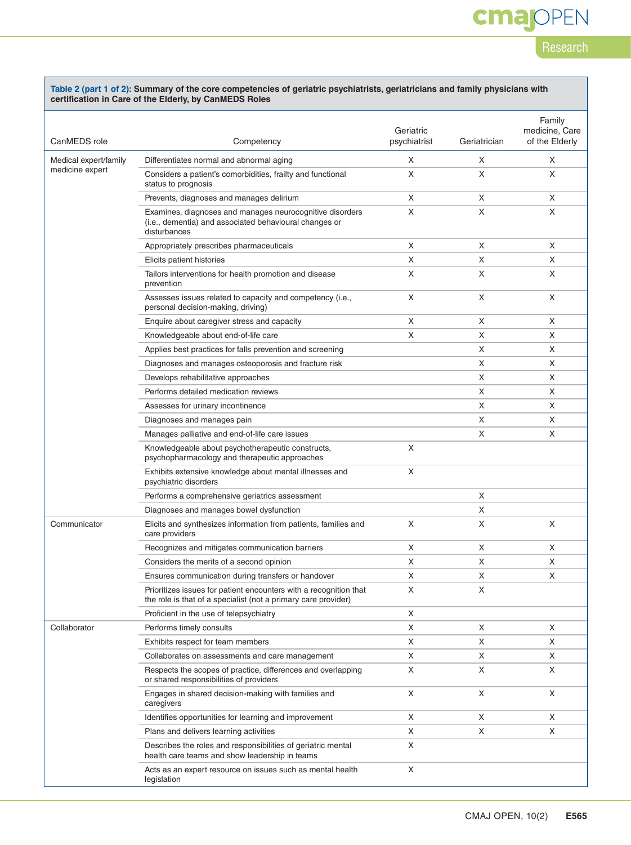# **cmajOPEN**

### Research

#### **Table 2 (part 1 of 2): Summary of the core competencies of geriatric psychiatrists, geriatricians and family physicians with certification in Care of the Elderly, by CanMEDS Roles**

| CanMEDS role                             | Competency                                                                                                                          | Geriatric<br>psychiatrist | Geriatrician | Family<br>medicine, Care<br>of the Elderly |
|------------------------------------------|-------------------------------------------------------------------------------------------------------------------------------------|---------------------------|--------------|--------------------------------------------|
| Medical expert/family<br>medicine expert | Differentiates normal and abnormal aging                                                                                            | X                         | Χ            | X                                          |
|                                          | Considers a patient's comorbidities, frailty and functional<br>status to prognosis                                                  | X                         | X            | Χ                                          |
|                                          | Prevents, diagnoses and manages delirium                                                                                            | X                         | X            | Χ                                          |
|                                          | Examines, diagnoses and manages neurocognitive disorders<br>(i.e., dementia) and associated behavioural changes or<br>disturbances  | X                         | Χ            | X                                          |
|                                          | Appropriately prescribes pharmaceuticals                                                                                            | X                         | Χ            | Χ                                          |
|                                          | Elicits patient histories                                                                                                           | X                         | X            | Χ                                          |
|                                          | Tailors interventions for health promotion and disease<br>prevention                                                                | X                         | X            | Χ                                          |
|                                          | Assesses issues related to capacity and competency (i.e.,<br>personal decision-making, driving)                                     | X                         | Χ            | Χ                                          |
|                                          | Enquire about caregiver stress and capacity                                                                                         | X                         | X            | X                                          |
|                                          | Knowledgeable about end-of-life care                                                                                                | X                         | Χ            | Χ                                          |
|                                          | Applies best practices for falls prevention and screening                                                                           |                           | Χ            | Χ                                          |
|                                          | Diagnoses and manages osteoporosis and fracture risk                                                                                |                           | X            | Χ                                          |
|                                          | Develops rehabilitative approaches                                                                                                  |                           | X            | Χ                                          |
|                                          | Performs detailed medication reviews                                                                                                |                           | X            | X                                          |
|                                          | Assesses for urinary incontinence                                                                                                   |                           | Χ            | Χ                                          |
|                                          | Diagnoses and manages pain                                                                                                          |                           | Χ            | Χ                                          |
|                                          | Manages palliative and end-of-life care issues                                                                                      |                           | X            | X                                          |
|                                          | Knowledgeable about psychotherapeutic constructs,<br>psychopharmacology and therapeutic approaches                                  | X                         |              |                                            |
|                                          | Exhibits extensive knowledge about mental illnesses and<br>psychiatric disorders                                                    | X                         |              |                                            |
|                                          | Performs a comprehensive geriatrics assessment                                                                                      |                           | X            |                                            |
|                                          | Diagnoses and manages bowel dysfunction                                                                                             |                           | X            |                                            |
| Communicator                             | Elicits and synthesizes information from patients, families and<br>care providers                                                   | X                         | X            | Χ                                          |
|                                          | Recognizes and mitigates communication barriers                                                                                     | X                         | X            | X                                          |
|                                          | Considers the merits of a second opinion                                                                                            | X                         | Χ            | Χ                                          |
|                                          | Ensures communication during transfers or handover                                                                                  | X                         | X            | Χ                                          |
|                                          | Prioritizes issues for patient encounters with a recognition that<br>the role is that of a specialist (not a primary care provider) | Χ                         | X            |                                            |
|                                          | Proficient in the use of telepsychiatry                                                                                             | X                         |              |                                            |
| Collaborator                             | Performs timely consults                                                                                                            | X                         | X            | X                                          |
|                                          | Exhibits respect for team members                                                                                                   | X                         | X            | X                                          |
|                                          | Collaborates on assessments and care management                                                                                     | X                         | X            | X                                          |
|                                          | Respects the scopes of practice, differences and overlapping<br>or shared responsibilities of providers                             | X                         | X            | Χ                                          |
|                                          | Engages in shared decision-making with families and<br>caregivers                                                                   | X                         | X            | X                                          |
|                                          | Identifies opportunities for learning and improvement                                                                               | X                         | X            | X                                          |
|                                          | Plans and delivers learning activities                                                                                              | X                         | X            | X                                          |
|                                          | Describes the roles and responsibilities of geriatric mental<br>health care teams and show leadership in teams                      | X                         |              |                                            |
|                                          | Acts as an expert resource on issues such as mental health<br>legislation                                                           | X                         |              |                                            |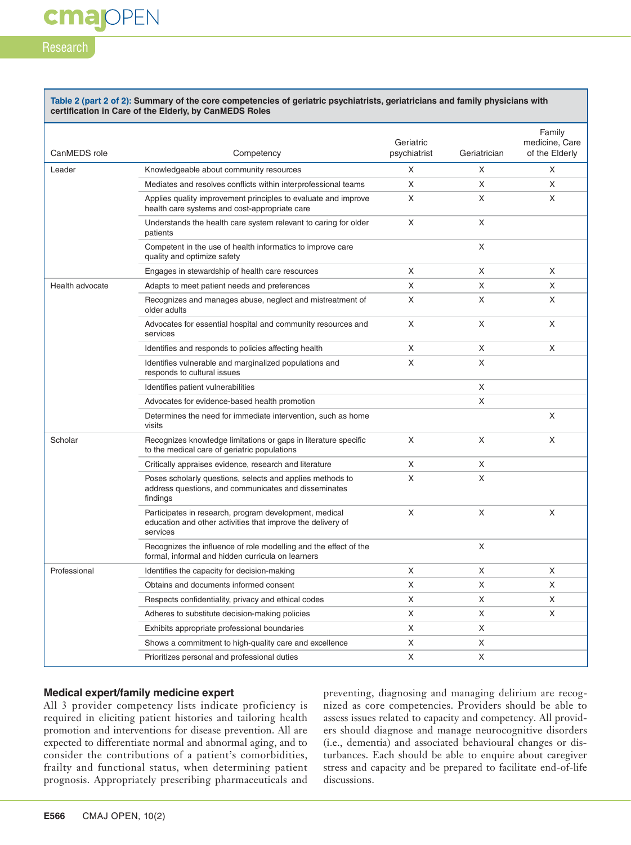### Research

**cmajOPEN** 

#### **Table 2 (part 2 of 2): Summary of the core competencies of geriatric psychiatrists, geriatricians and family physicians with certification in Care of the Elderly, by CanMEDS Roles**

| CanMEDS role    | Competency                                                                                                                        | Geriatric<br>psychiatrist | Geriatrician | Family<br>medicine, Care<br>of the Elderly |
|-----------------|-----------------------------------------------------------------------------------------------------------------------------------|---------------------------|--------------|--------------------------------------------|
| Leader          | Knowledgeable about community resources                                                                                           | X                         | X            | X                                          |
|                 | Mediates and resolves conflicts within interprofessional teams                                                                    | X                         | X            | X                                          |
|                 | Applies quality improvement principles to evaluate and improve<br>health care systems and cost-appropriate care                   | X                         | X            | X                                          |
|                 | Understands the health care system relevant to caring for older<br>patients                                                       | X                         | X            |                                            |
|                 | Competent in the use of health informatics to improve care<br>quality and optimize safety                                         |                           | X            |                                            |
|                 | Engages in stewardship of health care resources                                                                                   | X                         | X            | X                                          |
| Health advocate | Adapts to meet patient needs and preferences                                                                                      | X                         | X            | X                                          |
|                 | Recognizes and manages abuse, neglect and mistreatment of<br>older adults                                                         | X                         | X            | X                                          |
|                 | Advocates for essential hospital and community resources and<br>services                                                          | X                         | X            | X                                          |
|                 | Identifies and responds to policies affecting health                                                                              | X                         | X            | X                                          |
|                 | Identifies vulnerable and marginalized populations and<br>responds to cultural issues                                             | X                         | X            |                                            |
|                 | Identifies patient vulnerabilities                                                                                                |                           | X            |                                            |
|                 | Advocates for evidence-based health promotion                                                                                     |                           | X            |                                            |
|                 | Determines the need for immediate intervention, such as home<br>visits                                                            |                           |              | X                                          |
| Scholar         | Recognizes knowledge limitations or gaps in literature specific<br>to the medical care of geriatric populations                   | X                         | X            | X                                          |
|                 | Critically appraises evidence, research and literature                                                                            | X                         | X            |                                            |
|                 | Poses scholarly questions, selects and applies methods to<br>address questions, and communicates and disseminates<br>findings     | X                         | X            |                                            |
|                 | Participates in research, program development, medical<br>education and other activities that improve the delivery of<br>services | X                         | X            | X                                          |
|                 | Recognizes the influence of role modelling and the effect of the<br>formal, informal and hidden curricula on learners             |                           | X            |                                            |
| Professional    | Identifies the capacity for decision-making                                                                                       | X                         | X            | X                                          |
|                 | Obtains and documents informed consent                                                                                            | X                         | X            | X                                          |
|                 | Respects confidentiality, privacy and ethical codes                                                                               | X                         | X            | X                                          |
|                 | Adheres to substitute decision-making policies                                                                                    | X                         | X            | X                                          |
|                 | Exhibits appropriate professional boundaries                                                                                      | X                         | X            |                                            |
|                 | Shows a commitment to high-quality care and excellence                                                                            | Χ                         | X            |                                            |
|                 | Prioritizes personal and professional duties                                                                                      | X                         | X            |                                            |

#### **Medical expert/family medicine expert**

All 3 provider competency lists indicate proficiency is required in eliciting patient histories and tailoring health promotion and interventions for disease prevention. All are expected to differentiate normal and abnormal aging, and to consider the contributions of a patient's comorbidities, frailty and functional status, when determining patient prognosis. Appropriately prescribing pharmaceuticals and

preventing, diagnosing and managing delirium are recognized as core competencies. Providers should be able to assess issues related to capacity and competency. All providers should diagnose and manage neurocognitive disorders (i.e., dementia) and associated behavioural changes or disturbances. Each should be able to enquire about caregiver stress and capacity and be prepared to facilitate end-of-life discussions.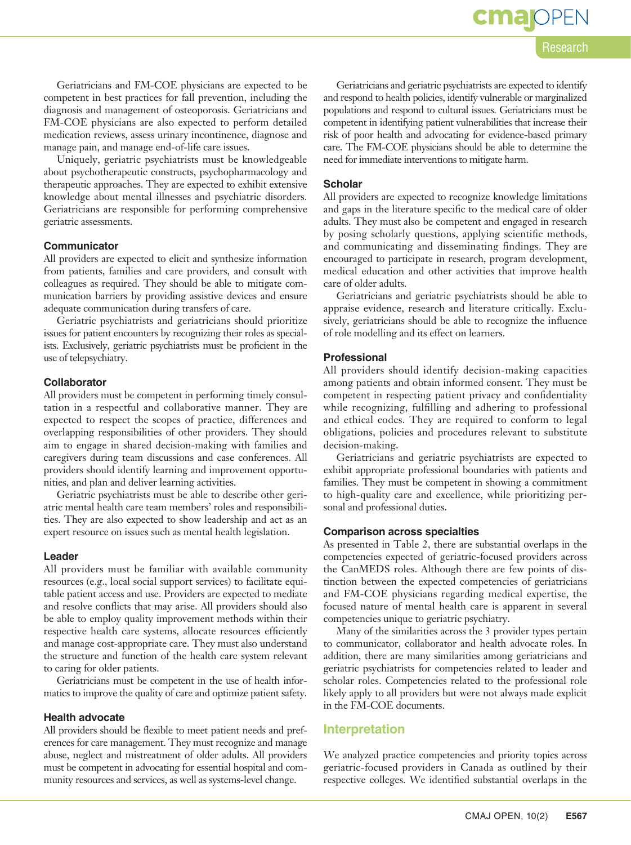cma

Research

Geriatricians and FM-COE physicians are expected to be competent in best practices for fall prevention, including the diagnosis and management of osteoporosis. Geriatricians and FM-COE physicians are also expected to perform detailed medication reviews, assess urinary incontinence, diagnose and manage pain, and manage end-of-life care issues.

Uniquely, geriatric psychiatrists must be knowledgeable about psychotherapeutic constructs, psychopharmacology and therapeutic approaches. They are expected to exhibit extensive knowledge about mental illnesses and psychiatric disorders. Geriatricians are responsible for performing comprehensive geriatric assessments.

#### **Communicator**

All providers are expected to elicit and synthesize information from patients, families and care providers, and consult with colleagues as required. They should be able to mitigate communication barriers by providing assistive devices and ensure adequate communication during transfers of care.

Geriatric psychiatrists and geriatricians should prioritize issues for patient encounters by recognizing their roles as specialists. Exclusively, geriatric psychiatrists must be proficient in the use of telepsychiatry.

#### **Collaborator**

All providers must be competent in performing timely consultation in a respectful and collaborative manner. They are expected to respect the scopes of practice, differences and overlapping responsibilities of other providers. They should aim to engage in shared decision-making with families and caregivers during team discussions and case conferences. All providers should identify learning and improvement opportunities, and plan and deliver learning activities.

Geriatric psychiatrists must be able to describe other geriatric mental health care team members' roles and responsibilities. They are also expected to show leadership and act as an expert resource on issues such as mental health legislation.

#### **Leader**

All providers must be familiar with available community resources (e.g., local social support services) to facilitate equitable patient access and use. Providers are expected to mediate and resolve conflicts that may arise. All providers should also be able to employ quality improvement methods within their respective health care systems, allocate resources efficiently and manage cost-appropriate care. They must also understand the structure and function of the health care system relevant to caring for older patients.

Geriatricians must be competent in the use of health informatics to improve the quality of care and optimize patient safety.

#### **Health advocate**

All providers should be flexible to meet patient needs and preferences for care management. They must recognize and manage abuse, neglect and mistreatment of older adults. All providers must be competent in advocating for essential hospital and community resources and services, as well as systems-level change.

Geriatricians and geriatric psychiatrists are expected to identify and respond to health policies, identify vulnerable or marginalized populations and respond to cultural issues. Geriatricians must be competent in identifying patient vulnerabilities that increase their risk of poor health and advocating for evidence-based primary care. The FM-COE physicians should be able to determine the need for immediate interventions to mitigate harm.

#### **Scholar**

All providers are expected to recognize knowledge limitations and gaps in the literature specific to the medical care of older adults. They must also be competent and engaged in research by posing scholarly questions, applying scientific methods, and communicating and disseminating findings. They are encouraged to participate in research, program development, medical education and other activities that improve health care of older adults.

Geriatricians and geriatric psychiatrists should be able to appraise evidence, research and literature critically. Exclusively, geriatricians should be able to recognize the influence of role modelling and its effect on learners.

#### **Professional**

All providers should identify decision-making capacities among patients and obtain informed consent. They must be competent in respecting patient privacy and confidentiality while recognizing, fulfilling and adhering to professional and ethical codes. They are required to conform to legal obligations, policies and procedures relevant to substitute decision-making.

Geriatricians and geriatric psychiatrists are expected to exhibit appropriate professional boundaries with patients and families. They must be competent in showing a commitment to high-quality care and excellence, while prioritizing personal and professional duties.

#### **Comparison across specialties**

As presented in Table 2, there are substantial overlaps in the competencies expected of geriatric-focused providers across the CanMEDS roles. Although there are few points of distinction between the expected competencies of geriatricians and FM-COE physicians regarding medical expertise, the focused nature of mental health care is apparent in several competencies unique to geriatric psychiatry.

Many of the similarities across the 3 provider types pertain to communicator, collaborator and health advocate roles. In addition, there are many similarities among geriatricians and geriatric psychiatrists for competencies related to leader and scholar roles. Competencies related to the professional role likely apply to all providers but were not always made explicit in the FM-COE documents.

#### **Interpretation**

We analyzed practice competencies and priority topics across geriatric-focused providers in Canada as outlined by their respective colleges. We identified substantial overlaps in the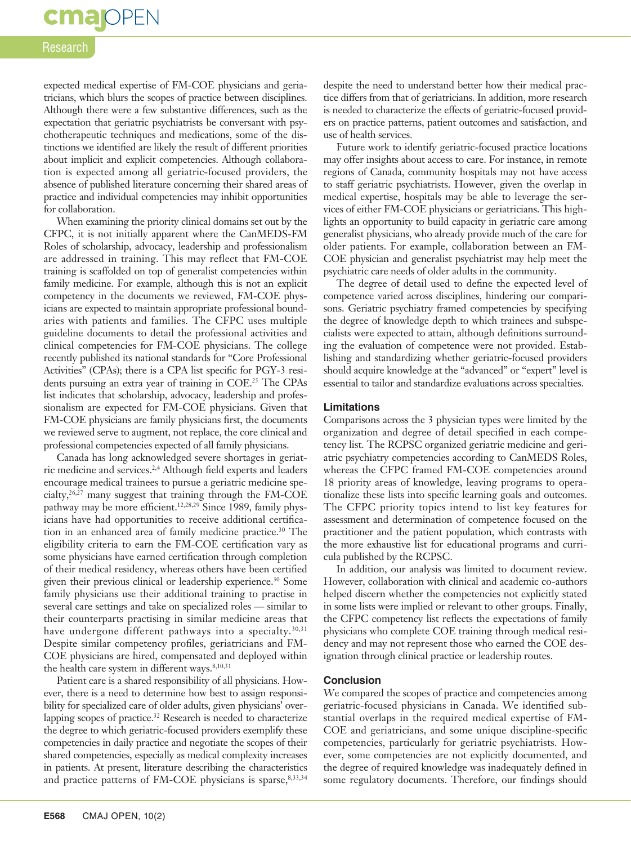# **cma** OPEN

#### Research

expected medical expertise of FM-COE physicians and geriatricians, which blurs the scopes of practice between disciplines. Although there were a few substantive differences, such as the expectation that geriatric psychiatrists be conversant with psychotherapeutic techniques and medications, some of the distinctions we identified are likely the result of different priorities about implicit and explicit competencies. Although collaboration is expected among all geriatric-focused providers, the absence of published literature concerning their shared areas of practice and individual competencies may inhibit opportunities for collaboration.

When examining the priority clinical domains set out by the CFPC, it is not initially apparent where the CanMEDS-FM Roles of scholarship, advocacy, leadership and professionalism are addressed in training. This may reflect that FM-COE training is scaffolded on top of generalist competencies within family medicine. For example, although this is not an explicit competency in the documents we reviewed, FM-COE physicians are expected to maintain appropriate professional boundaries with patients and families. The CFPC uses multiple guideline documents to detail the professional activities and clinical competencies for FM-COE physicians. The college recently published its national standards for "Core Professional Activities" (CPAs); there is a CPA list specific for PGY-3 residents pursuing an extra year of training in COE.<sup>25</sup> The CPAs list indicates that scholarship, advocacy, leadership and professionalism are expected for FM-COE physicians. Given that FM-COE physicians are family physicians first, the documents we reviewed serve to augment, not replace, the core clinical and professional competencies expected of all family physicians.

Canada has long acknowledged severe shortages in geriatric medicine and services.2,4 Although field experts and leaders encourage medical trainees to pursue a geriatric medicine specialty, $26,27$  many suggest that training through the FM-COE pathway may be more efficient.<sup>12,28,29</sup> Since 1989, family physicians have had opportunities to receive additional certification in an enhanced area of family medicine practice.<sup>30</sup> The eligibility criteria to earn the FM-COE certification vary as some physicians have earned certification through completion of their medical residency, whereas others have been certified given their previous clinical or leadership experience.<sup>30</sup> Some family physicians use their additional training to practise in several care settings and take on specialized roles — similar to their counterparts practising in similar medicine areas that have undergone different pathways into a specialty.<sup>30,31</sup> Despite similar competency profiles, geriatricians and FM-COE physicians are hired, compensated and deployed within the health care system in different ways.<sup>8,10,31</sup>

Patient care is a shared responsibility of all physicians. However, there is a need to determine how best to assign responsibility for specialized care of older adults, given physicians' overlapping scopes of practice.<sup>32</sup> Research is needed to characterize the degree to which geriatric-focused providers exemplify these competencies in daily practice and negotiate the scopes of their shared competencies, especially as medical complexity increases in patients. At present, literature describing the characteristics and practice patterns of FM-COE physicians is sparse, 8,33,34

despite the need to understand better how their medical practice differs from that of geriatricians. In addition, more research is needed to characterize the effects of geriatric-focused providers on practice patterns, patient outcomes and satisfaction, and use of health services.

Future work to identify geriatric-focused practice locations may offer insights about access to care. For instance, in remote regions of Canada, community hospitals may not have access to staff geriatric psychiatrists. However, given the overlap in medical expertise, hospitals may be able to leverage the services of either FM-COE physicians or geriatricians. This highlights an opportunity to build capacity in geriatric care among generalist physicians, who already provide much of the care for older patients. For example, collaboration between an FM-COE physician and generalist psychiatrist may help meet the psychiatric care needs of older adults in the community.

The degree of detail used to define the expected level of competence varied across disciplines, hindering our comparisons. Geriatric psychiatry framed competencies by specifying the degree of knowledge depth to which trainees and subspecialists were expected to attain, although definitions surrounding the evaluation of competence were not provided. Establishing and standardizing whether geriatric-focused providers should acquire knowledge at the "advanced" or "expert" level is essential to tailor and standardize evaluations across specialties.

#### **Limitations**

Comparisons across the 3 physician types were limited by the organization and degree of detail specified in each competency list. The RCPSC organized geriatric medicine and geriatric psychiatry competencies according to CanMEDS Roles, whereas the CFPC framed FM-COE competencies around 18 priority areas of knowledge, leaving programs to operationalize these lists into specific learning goals and outcomes. The CFPC priority topics intend to list key features for assessment and determination of competence focused on the practitioner and the patient population, which contrasts with the more exhaustive list for educational programs and curricula published by the RCPSC.

In addition, our analysis was limited to document review. However, collaboration with clinical and academic co-authors helped discern whether the competencies not explicitly stated in some lists were implied or relevant to other groups. Finally, the CFPC competency list reflects the expectations of family physicians who complete COE training through medical residency and may not represent those who earned the COE designation through clinical practice or leadership routes.

#### **Conclusion**

We compared the scopes of practice and competencies among geriatric-focused physicians in Canada. We identified substantial overlaps in the required medical expertise of FM-COE and geriatricians, and some unique discipline-specific competencies, particularly for geriatric psychiatrists. However, some competencies are not explicitly documented, and the degree of required knowledge was inadequately defined in some regulatory documents. Therefore, our findings should